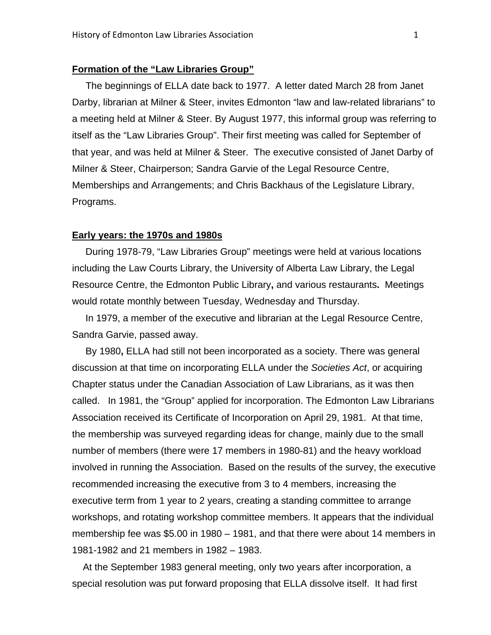## **Formation of the "Law Libraries Group"**

 The beginnings of ELLA date back to 1977. A letter dated March 28 from Janet Darby, librarian at Milner & Steer, invites Edmonton "law and law-related librarians" to a meeting held at Milner & Steer. By August 1977, this informal group was referring to itself as the "Law Libraries Group". Their first meeting was called for September of that year, and was held at Milner & Steer. The executive consisted of Janet Darby of Milner & Steer, Chairperson; Sandra Garvie of the Legal Resource Centre, Memberships and Arrangements; and Chris Backhaus of the Legislature Library, Programs.

#### **Early years: the 1970s and 1980s**

 During 1978-79, "Law Libraries Group" meetings were held at various locations including the Law Courts Library, the University of Alberta Law Library, the Legal Resource Centre, the Edmonton Public Library**,** and various restaurants**.** Meetings would rotate monthly between Tuesday, Wednesday and Thursday.

 In 1979, a member of the executive and librarian at the Legal Resource Centre, Sandra Garvie, passed away.

 By 1980**,** ELLA had still not been incorporated as a society. There was general discussion at that time on incorporating ELLA under the *Societies Act*, or acquiring Chapter status under the Canadian Association of Law Librarians, as it was then called. In 1981, the "Group" applied for incorporation. The Edmonton Law Librarians Association received its Certificate of Incorporation on April 29, 1981. At that time, the membership was surveyed regarding ideas for change, mainly due to the small number of members (there were 17 members in 1980-81) and the heavy workload involved in running the Association. Based on the results of the survey, the executive recommended increasing the executive from 3 to 4 members, increasing the executive term from 1 year to 2 years, creating a standing committee to arrange workshops, and rotating workshop committee members. It appears that the individual membership fee was \$5.00 in 1980 – 1981, and that there were about 14 members in 1981-1982 and 21 members in 1982 – 1983.

 At the September 1983 general meeting, only two years after incorporation, a special resolution was put forward proposing that ELLA dissolve itself. It had first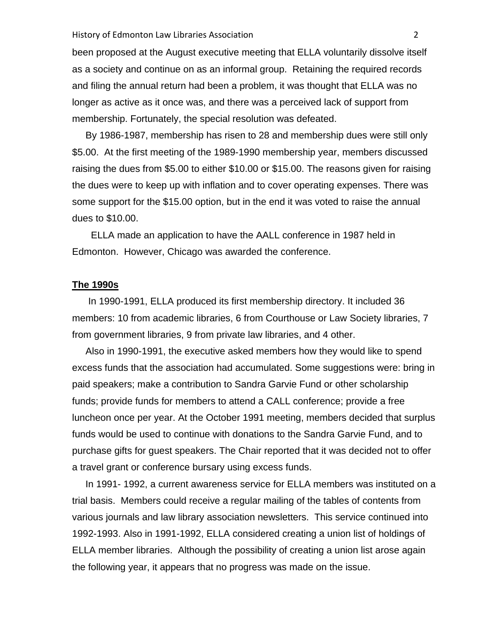#### History of Edmonton Law Libraries Association **1996** 2

been proposed at the August executive meeting that ELLA voluntarily dissolve itself as a society and continue on as an informal group. Retaining the required records and filing the annual return had been a problem, it was thought that ELLA was no longer as active as it once was, and there was a perceived lack of support from membership. Fortunately, the special resolution was defeated.

 By 1986-1987, membership has risen to 28 and membership dues were still only \$5.00. At the first meeting of the 1989-1990 membership year, members discussed raising the dues from \$5.00 to either \$10.00 or \$15.00. The reasons given for raising the dues were to keep up with inflation and to cover operating expenses. There was some support for the \$15.00 option, but in the end it was voted to raise the annual dues to \$10.00.

 ELLA made an application to have the AALL conference in 1987 held in Edmonton. However, Chicago was awarded the conference.

#### **The 1990s**

 In 1990-1991, ELLA produced its first membership directory. It included 36 members: 10 from academic libraries, 6 from Courthouse or Law Society libraries, 7 from government libraries, 9 from private law libraries, and 4 other.

 Also in 1990-1991, the executive asked members how they would like to spend excess funds that the association had accumulated. Some suggestions were: bring in paid speakers; make a contribution to Sandra Garvie Fund or other scholarship funds; provide funds for members to attend a CALL conference; provide a free luncheon once per year. At the October 1991 meeting, members decided that surplus funds would be used to continue with donations to the Sandra Garvie Fund, and to purchase gifts for guest speakers. The Chair reported that it was decided not to offer a travel grant or conference bursary using excess funds.

 In 1991- 1992, a current awareness service for ELLA members was instituted on a trial basis. Members could receive a regular mailing of the tables of contents from various journals and law library association newsletters. This service continued into 1992-1993. Also in 1991-1992, ELLA considered creating a union list of holdings of ELLA member libraries. Although the possibility of creating a union list arose again the following year, it appears that no progress was made on the issue.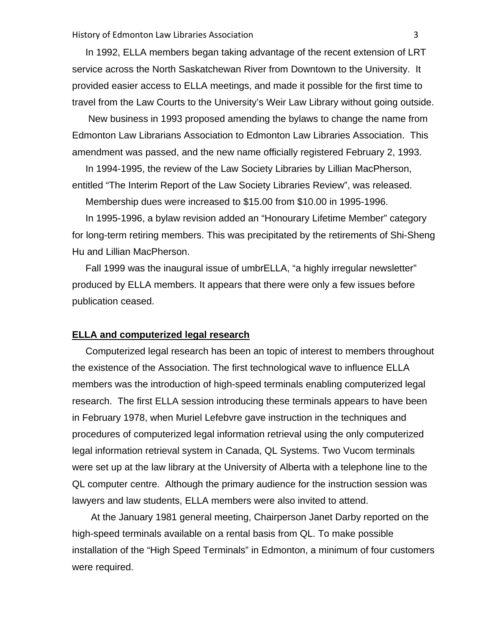In 1992, ELLA members began taking advantage of the recent extension of LRT service across the North Saskatchewan River from Downtown to the University. It provided easier access to ELLA meetings, and made it possible for the first time to travel from the Law Courts to the University's Weir Law Library without going outside.

 New business in 1993 proposed amending the bylaws to change the name from Edmonton Law Librarians Association to Edmonton Law Libraries Association. This amendment was passed, and the new name officially registered February 2, 1993.

 In 1994-1995, the review of the Law Society Libraries by Lillian MacPherson, entitled "The Interim Report of the Law Society Libraries Review", was released.

Membership dues were increased to \$15.00 from \$10.00 in 1995-1996.

 In 1995-1996, a bylaw revision added an "Honourary Lifetime Member" category for long-term retiring members. This was precipitated by the retirements of Shi-Sheng Hu and Lillian MacPherson.

 Fall 1999 was the inaugural issue of umbrELLA, "a highly irregular newsletter" produced by ELLA members. It appears that there were only a few issues before publication ceased.

## **ELLA and computerized legal research**

 Computerized legal research has been an topic of interest to members throughout the existence of the Association. The first technological wave to influence ELLA members was the introduction of high-speed terminals enabling computerized legal research. The first ELLA session introducing these terminals appears to have been in February 1978, when Muriel Lefebvre gave instruction in the techniques and procedures of computerized legal information retrieval using the only computerized legal information retrieval system in Canada, QL Systems. Two Vucom terminals were set up at the law library at the University of Alberta with a telephone line to the QL computer centre. Although the primary audience for the instruction session was lawyers and law students, ELLA members were also invited to attend.

 At the January 1981 general meeting, Chairperson Janet Darby reported on the high-speed terminals available on a rental basis from QL. To make possible installation of the "High Speed Terminals" in Edmonton, a minimum of four customers were required.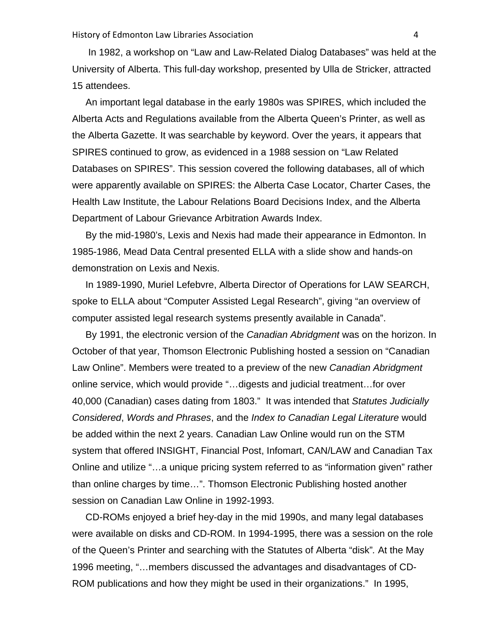In 1982, a workshop on "Law and Law-Related Dialog Databases" was held at the University of Alberta. This full-day workshop, presented by Ulla de Stricker, attracted 15 attendees.

 An important legal database in the early 1980s was SPIRES, which included the Alberta Acts and Regulations available from the Alberta Queen's Printer, as well as the Alberta Gazette. It was searchable by keyword. Over the years, it appears that SPIRES continued to grow, as evidenced in a 1988 session on "Law Related Databases on SPIRES". This session covered the following databases, all of which were apparently available on SPIRES: the Alberta Case Locator, Charter Cases, the Health Law Institute, the Labour Relations Board Decisions Index, and the Alberta Department of Labour Grievance Arbitration Awards Index.

 By the mid-1980's, Lexis and Nexis had made their appearance in Edmonton. In 1985-1986, Mead Data Central presented ELLA with a slide show and hands-on demonstration on Lexis and Nexis.

 In 1989-1990, Muriel Lefebvre, Alberta Director of Operations for LAW SEARCH, spoke to ELLA about "Computer Assisted Legal Research", giving "an overview of computer assisted legal research systems presently available in Canada".

 By 1991, the electronic version of the *Canadian Abridgment* was on the horizon. In October of that year, Thomson Electronic Publishing hosted a session on "Canadian Law Online". Members were treated to a preview of the new *Canadian Abridgment* online service, which would provide "…digests and judicial treatment…for over 40,000 (Canadian) cases dating from 1803." It was intended that *Statutes Judicially Considered*, *Words and Phrases*, and the *Index to Canadian Legal Literature* would be added within the next 2 years. Canadian Law Online would run on the STM system that offered INSIGHT, Financial Post, Infomart, CAN/LAW and Canadian Tax Online and utilize "…a unique pricing system referred to as "information given" rather than online charges by time…". Thomson Electronic Publishing hosted another session on Canadian Law Online in 1992-1993.

 CD-ROMs enjoyed a brief hey-day in the mid 1990s, and many legal databases were available on disks and CD-ROM. In 1994-1995, there was a session on the role of the Queen's Printer and searching with the Statutes of Alberta "disk"*.* At the May 1996 meeting, "…members discussed the advantages and disadvantages of CD-ROM publications and how they might be used in their organizations." In 1995,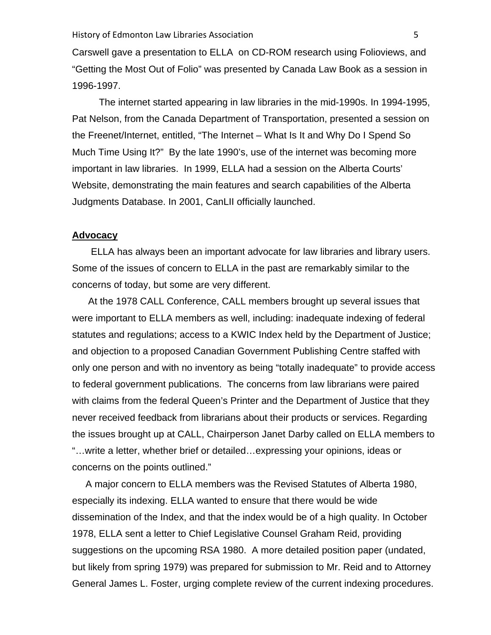Carswell gave a presentation to ELLA on CD-ROM research using Folioviews, and "Getting the Most Out of Folio" was presented by Canada Law Book as a session in 1996-1997.

 The internet started appearing in law libraries in the mid-1990s. In 1994-1995, Pat Nelson, from the Canada Department of Transportation, presented a session on the Freenet/Internet, entitled, "The Internet – What Is It and Why Do I Spend So Much Time Using It?" By the late 1990's, use of the internet was becoming more important in law libraries. In 1999, ELLA had a session on the Alberta Courts' Website, demonstrating the main features and search capabilities of the Alberta Judgments Database. In 2001, CanLII officially launched.

## **Advocacy**

 ELLA has always been an important advocate for law libraries and library users. Some of the issues of concern to ELLA in the past are remarkably similar to the concerns of today, but some are very different.

 At the 1978 CALL Conference, CALL members brought up several issues that were important to ELLA members as well, including: inadequate indexing of federal statutes and regulations; access to a KWIC Index held by the Department of Justice; and objection to a proposed Canadian Government Publishing Centre staffed with only one person and with no inventory as being "totally inadequate" to provide access to federal government publications. The concerns from law librarians were paired with claims from the federal Queen's Printer and the Department of Justice that they never received feedback from librarians about their products or services. Regarding the issues brought up at CALL, Chairperson Janet Darby called on ELLA members to "…write a letter, whether brief or detailed…expressing your opinions, ideas or concerns on the points outlined."

 A major concern to ELLA members was the Revised Statutes of Alberta 1980, especially its indexing. ELLA wanted to ensure that there would be wide dissemination of the Index, and that the index would be of a high quality. In October 1978, ELLA sent a letter to Chief Legislative Counsel Graham Reid, providing suggestions on the upcoming RSA 1980. A more detailed position paper (undated, but likely from spring 1979) was prepared for submission to Mr. Reid and to Attorney General James L. Foster, urging complete review of the current indexing procedures.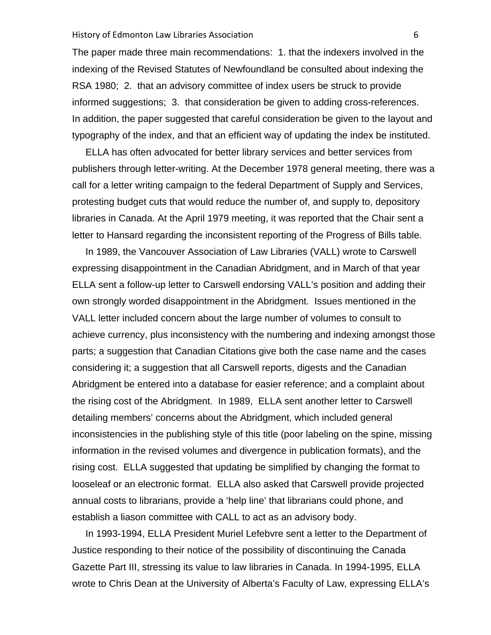#### History of Edmonton Law Libraries Association **by a struck of Edmonton Law Libraries** Association

The paper made three main recommendations:1. that the indexers involved in the indexing of the Revised Statutes of Newfoundland be consulted about indexing the RSA 1980; 2. that an advisory committee of index users be struck to provide informed suggestions; 3. that consideration be given to adding cross-references. In addition, the paper suggested that careful consideration be given to the layout and typography of the index, and that an efficient way of updating the index be instituted.

 ELLA has often advocated for better library services and better services from publishers through letter-writing. At the December 1978 general meeting, there was a call for a letter writing campaign to the federal Department of Supply and Services, protesting budget cuts that would reduce the number of, and supply to, depository libraries in Canada. At the April 1979 meeting, it was reported that the Chair sent a letter to Hansard regarding the inconsistent reporting of the Progress of Bills table.

 In 1989, the Vancouver Association of Law Libraries (VALL) wrote to Carswell expressing disappointment in the Canadian Abridgment, and in March of that year ELLA sent a follow-up letter to Carswell endorsing VALL's position and adding their own strongly worded disappointment in the Abridgment. Issues mentioned in the VALL letter included concern about the large number of volumes to consult to achieve currency, plus inconsistency with the numbering and indexing amongst those parts; a suggestion that Canadian Citations give both the case name and the cases considering it; a suggestion that all Carswell reports, digests and the Canadian Abridgment be entered into a database for easier reference; and a complaint about the rising cost of the Abridgment. In 1989, ELLA sent another letter to Carswell detailing members' concerns about the Abridgment, which included general inconsistencies in the publishing style of this title (poor labeling on the spine, missing information in the revised volumes and divergence in publication formats), and the rising cost. ELLA suggested that updating be simplified by changing the format to looseleaf or an electronic format. ELLA also asked that Carswell provide projected annual costs to librarians, provide a 'help line' that librarians could phone, and establish a liason committee with CALL to act as an advisory body.

 In 1993-1994, ELLA President Muriel Lefebvre sent a letter to the Department of Justice responding to their notice of the possibility of discontinuing the Canada Gazette Part III, stressing its value to law libraries in Canada. In 1994-1995, ELLA wrote to Chris Dean at the University of Alberta's Faculty of Law, expressing ELLA's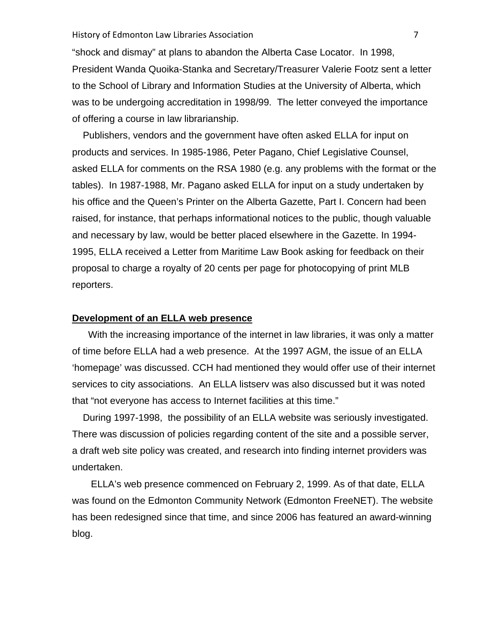#### History of Edmonton Law Libraries Association **1996** and 1997 and 1998 and 1998 and 1998 and 1998 and 1998 and 19

"shock and dismay" at plans to abandon the Alberta Case Locator. In 1998, President Wanda Quoika-Stanka and Secretary/Treasurer Valerie Footz sent a letter to the School of Library and Information Studies at the University of Alberta, which was to be undergoing accreditation in 1998/99. The letter conveyed the importance of offering a course in law librarianship.

 Publishers, vendors and the government have often asked ELLA for input on products and services. In 1985-1986, Peter Pagano, Chief Legislative Counsel, asked ELLA for comments on the RSA 1980 (e.g. any problems with the format or the tables). In 1987-1988, Mr. Pagano asked ELLA for input on a study undertaken by his office and the Queen's Printer on the Alberta Gazette, Part I. Concern had been raised, for instance, that perhaps informational notices to the public, though valuable and necessary by law, would be better placed elsewhere in the Gazette. In 1994- 1995, ELLA received a Letter from Maritime Law Book asking for feedback on their proposal to charge a royalty of 20 cents per page for photocopying of print MLB reporters.

## **Development of an ELLA web presence**

 With the increasing importance of the internet in law libraries, it was only a matter of time before ELLA had a web presence. At the 1997 AGM, the issue of an ELLA 'homepage' was discussed. CCH had mentioned they would offer use of their internet services to city associations. An ELLA listserv was also discussed but it was noted that "not everyone has access to Internet facilities at this time."

 During 1997-1998, the possibility of an ELLA website was seriously investigated. There was discussion of policies regarding content of the site and a possible server, a draft web site policy was created, and research into finding internet providers was undertaken.

 ELLA's web presence commenced on February 2, 1999. As of that date, ELLA was found on the Edmonton Community Network (Edmonton FreeNET). The website has been redesigned since that time, and since 2006 has featured an award-winning blog.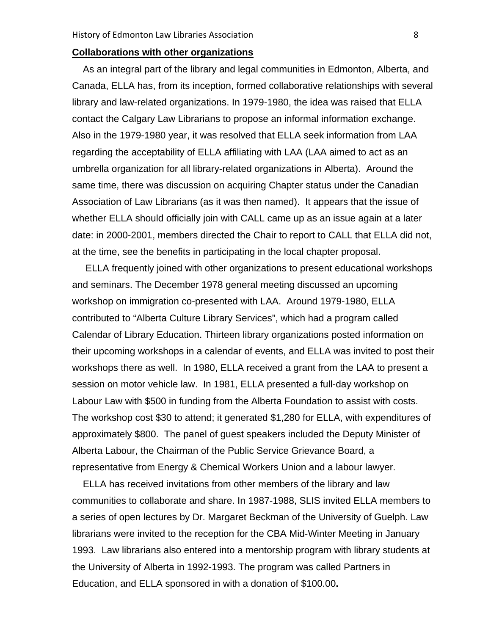# **Collaborations with other organizations**

 As an integral part of the library and legal communities in Edmonton, Alberta, and Canada, ELLA has, from its inception, formed collaborative relationships with several library and law-related organizations. In 1979-1980, the idea was raised that ELLA contact the Calgary Law Librarians to propose an informal information exchange. Also in the 1979-1980 year, it was resolved that ELLA seek information from LAA regarding the acceptability of ELLA affiliating with LAA (LAA aimed to act as an umbrella organization for all library-related organizations in Alberta). Around the same time, there was discussion on acquiring Chapter status under the Canadian Association of Law Librarians (as it was then named). It appears that the issue of whether ELLA should officially join with CALL came up as an issue again at a later date: in 2000-2001, members directed the Chair to report to CALL that ELLA did not, at the time, see the benefits in participating in the local chapter proposal.

 ELLA frequently joined with other organizations to present educational workshops and seminars. The December 1978 general meeting discussed an upcoming workshop on immigration co-presented with LAA. Around 1979-1980, ELLA contributed to "Alberta Culture Library Services", which had a program called Calendar of Library Education. Thirteen library organizations posted information on their upcoming workshops in a calendar of events, and ELLA was invited to post their workshops there as well. In 1980, ELLA received a grant from the LAA to present a session on motor vehicle law. In 1981, ELLA presented a full-day workshop on Labour Law with \$500 in funding from the Alberta Foundation to assist with costs. The workshop cost \$30 to attend; it generated \$1,280 for ELLA, with expenditures of approximately \$800. The panel of guest speakers included the Deputy Minister of Alberta Labour, the Chairman of the Public Service Grievance Board, a representative from Energy & Chemical Workers Union and a labour lawyer.

 ELLA has received invitations from other members of the library and law communities to collaborate and share. In 1987-1988, SLIS invited ELLA members to a series of open lectures by Dr. Margaret Beckman of the University of Guelph. Law librarians were invited to the reception for the CBA Mid-Winter Meeting in January 1993. Law librarians also entered into a mentorship program with library students at the University of Alberta in 1992-1993. The program was called Partners in Education, and ELLA sponsored in with a donation of \$100.00**.**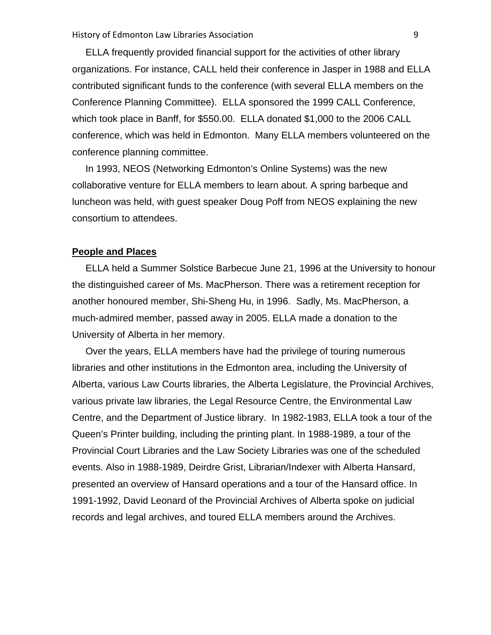ELLA frequently provided financial support for the activities of other library organizations. For instance, CALL held their conference in Jasper in 1988 and ELLA contributed significant funds to the conference (with several ELLA members on the Conference Planning Committee). ELLA sponsored the 1999 CALL Conference, which took place in Banff, for \$550.00. ELLA donated \$1,000 to the 2006 CALL conference, which was held in Edmonton. Many ELLA members volunteered on the conference planning committee.

 In 1993, NEOS (Networking Edmonton's Online Systems) was the new collaborative venture for ELLA members to learn about. A spring barbeque and luncheon was held, with guest speaker Doug Poff from NEOS explaining the new consortium to attendees.

# **People and Places**

 ELLA held a Summer Solstice Barbecue June 21, 1996 at the University to honour the distinguished career of Ms. MacPherson. There was a retirement reception for another honoured member, Shi-Sheng Hu, in 1996. Sadly, Ms. MacPherson, a much-admired member, passed away in 2005. ELLA made a donation to the University of Alberta in her memory.

 Over the years, ELLA members have had the privilege of touring numerous libraries and other institutions in the Edmonton area, including the University of Alberta, various Law Courts libraries, the Alberta Legislature, the Provincial Archives, various private law libraries, the Legal Resource Centre, the Environmental Law Centre, and the Department of Justice library. In 1982-1983, ELLA took a tour of the Queen's Printer building, including the printing plant. In 1988-1989, a tour of the Provincial Court Libraries and the Law Society Libraries was one of the scheduled events. Also in 1988-1989, Deirdre Grist, Librarian/Indexer with Alberta Hansard, presented an overview of Hansard operations and a tour of the Hansard office. In 1991-1992, David Leonard of the Provincial Archives of Alberta spoke on judicial records and legal archives, and toured ELLA members around the Archives.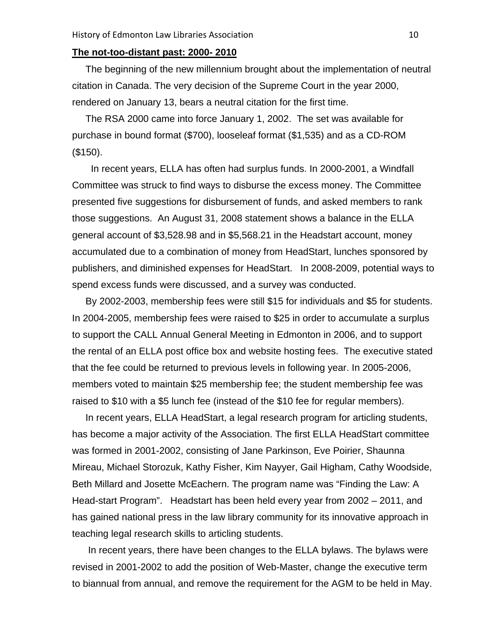# **The not-too-distant past: 2000- 2010**

 The beginning of the new millennium brought about the implementation of neutral citation in Canada. The very decision of the Supreme Court in the year 2000, rendered on January 13, bears a neutral citation for the first time.

 The RSA 2000 came into force January 1, 2002. The set was available for purchase in bound format (\$700), looseleaf format (\$1,535) and as a CD-ROM (\$150).

 In recent years, ELLA has often had surplus funds. In 2000-2001, a Windfall Committee was struck to find ways to disburse the excess money. The Committee presented five suggestions for disbursement of funds, and asked members to rank those suggestions. An August 31, 2008 statement shows a balance in the ELLA general account of \$3,528.98 and in \$5,568.21 in the Headstart account, money accumulated due to a combination of money from HeadStart, lunches sponsored by publishers, and diminished expenses for HeadStart. In 2008-2009, potential ways to spend excess funds were discussed, and a survey was conducted.

 By 2002-2003, membership fees were still \$15 for individuals and \$5 for students. In 2004-2005, membership fees were raised to \$25 in order to accumulate a surplus to support the CALL Annual General Meeting in Edmonton in 2006, and to support the rental of an ELLA post office box and website hosting fees. The executive stated that the fee could be returned to previous levels in following year. In 2005-2006, members voted to maintain \$25 membership fee; the student membership fee was raised to \$10 with a \$5 lunch fee (instead of the \$10 fee for regular members).

 In recent years, ELLA HeadStart, a legal research program for articling students, has become a major activity of the Association. The first ELLA HeadStart committee was formed in 2001-2002, consisting of Jane Parkinson, Eve Poirier, Shaunna Mireau, Michael Storozuk, Kathy Fisher, Kim Nayyer, Gail Higham, Cathy Woodside, Beth Millard and Josette McEachern. The program name was "Finding the Law: A Head-start Program". Headstart has been held every year from 2002 – 2011, and has gained national press in the law library community for its innovative approach in teaching legal research skills to articling students.

 In recent years, there have been changes to the ELLA bylaws. The bylaws were revised in 2001-2002 to add the position of Web-Master, change the executive term to biannual from annual, and remove the requirement for the AGM to be held in May.